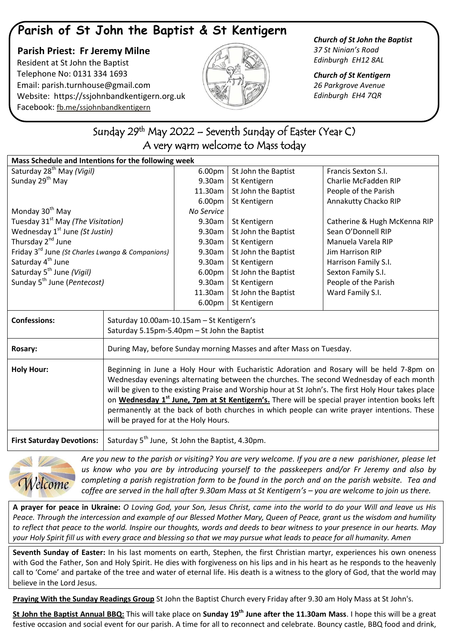## **Parish of St John the Baptist & St Kentigern**

 **Parish Priest: Fr Jeremy Milne** Resident at St John the Baptist Telephone No: 0131 334 1693 Email: [parish.turnhouse@gmail.com](mailto:parish.turnhouse@gmail.com)  Website: [https://ssjohnbandkentigern.org.uk](https://ssjohnbandkentigern.org.uk/) Facebook: [fb.me/ssjohnbandkentigern](https://fb.me/ssjohnbandkentigern)



*Church of St John the Baptist 37 St Ninian's Road Edinburgh EH12 8AL*

*Church of St Kentigern 26 Parkgrove Avenue Edinburgh EH4 7QR*

## j Sunday 29<sup>th</sup> May 2022 – Seventh Sunday of Easter (Year C) A very warm welcome to Mass today

֦

| Mass Schedule and Intentions for the following week          |                                                                                                                                                                                                                                                                                                                                                                                                                                                                                                                                                    |            |                     |                              |
|--------------------------------------------------------------|----------------------------------------------------------------------------------------------------------------------------------------------------------------------------------------------------------------------------------------------------------------------------------------------------------------------------------------------------------------------------------------------------------------------------------------------------------------------------------------------------------------------------------------------------|------------|---------------------|------------------------------|
| Saturday 28 <sup>th</sup> May (Vigil)                        |                                                                                                                                                                                                                                                                                                                                                                                                                                                                                                                                                    | 6.00pm     | St John the Baptist | Francis Sexton S.I.          |
| Sunday 29 <sup>th</sup> May                                  |                                                                                                                                                                                                                                                                                                                                                                                                                                                                                                                                                    | 9.30am     | St Kentigern        | Charlie McFadden RIP         |
|                                                              |                                                                                                                                                                                                                                                                                                                                                                                                                                                                                                                                                    | 11.30am    | St John the Baptist | People of the Parish         |
|                                                              |                                                                                                                                                                                                                                                                                                                                                                                                                                                                                                                                                    | 6.00pm     | St Kentigern        | Annakutty Chacko RIP         |
| Monday 30 <sup>th</sup> May                                  |                                                                                                                                                                                                                                                                                                                                                                                                                                                                                                                                                    | No Service |                     |                              |
| Tuesday 31 <sup>st</sup> May (The Visitation)                |                                                                                                                                                                                                                                                                                                                                                                                                                                                                                                                                                    | 9.30am     | St Kentigern        | Catherine & Hugh McKenna RIP |
| Wednesday 1 <sup>st</sup> June (St Justin)                   |                                                                                                                                                                                                                                                                                                                                                                                                                                                                                                                                                    | 9.30am     | St John the Baptist | Sean O'Donnell RIP           |
| Thursday 2 <sup>nd</sup> June                                |                                                                                                                                                                                                                                                                                                                                                                                                                                                                                                                                                    | 9.30am     | St Kentigern        | Manuela Varela RIP           |
| Friday 3 <sup>rd</sup> June (St Charles Lwanga & Companions) |                                                                                                                                                                                                                                                                                                                                                                                                                                                                                                                                                    | 9.30am     | St John the Baptist | Jim Harrison RIP             |
| Saturday 4 <sup>th</sup> June                                |                                                                                                                                                                                                                                                                                                                                                                                                                                                                                                                                                    | 9.30am     | St Kentigern        | Harrison Family S.I.         |
| Saturday 5 <sup>th</sup> June (Vigil)                        |                                                                                                                                                                                                                                                                                                                                                                                                                                                                                                                                                    | 6.00pm     | St John the Baptist | Sexton Family S.I.           |
| Sunday 5 <sup>th</sup> June (Pentecost)                      |                                                                                                                                                                                                                                                                                                                                                                                                                                                                                                                                                    | 9.30am     | St Kentigern        | People of the Parish         |
|                                                              |                                                                                                                                                                                                                                                                                                                                                                                                                                                                                                                                                    | 11.30am    | St John the Baptist | Ward Family S.I.             |
|                                                              |                                                                                                                                                                                                                                                                                                                                                                                                                                                                                                                                                    | 6.00pm     | St Kentigern        |                              |
| <b>Confessions:</b>                                          | Saturday 10.00am-10.15am - St Kentigern's                                                                                                                                                                                                                                                                                                                                                                                                                                                                                                          |            |                     |                              |
|                                                              | Saturday 5.15pm-5.40pm - St John the Baptist                                                                                                                                                                                                                                                                                                                                                                                                                                                                                                       |            |                     |                              |
| Rosary:                                                      | During May, before Sunday morning Masses and after Mass on Tuesday.                                                                                                                                                                                                                                                                                                                                                                                                                                                                                |            |                     |                              |
| <b>Holy Hour:</b>                                            | Beginning in June a Holy Hour with Eucharistic Adoration and Rosary will be held 7-8pm on<br>Wednesday evenings alternating between the churches. The second Wednesday of each month<br>will be given to the existing Praise and Worship hour at St John's. The first Holy Hour takes place<br>on Wednesday 1 <sup>st</sup> June, 7pm at St Kentigern's. There will be special prayer intention books left<br>permanently at the back of both churches in which people can write prayer intentions. These<br>will be prayed for at the Holy Hours. |            |                     |                              |
| <b>First Saturday Devotions:</b>                             | Saturday 5 <sup>th</sup> June, St John the Baptist, 4.30pm.                                                                                                                                                                                                                                                                                                                                                                                                                                                                                        |            |                     |                              |
|                                                              |                                                                                                                                                                                                                                                                                                                                                                                                                                                                                                                                                    |            |                     |                              |



*Are you new to the parish or visiting? You are very welcome. If you are a new parishioner, please let us know who you are by introducing yourself to the passkeepers and/or Fr Jeremy and also by completing a parish registration form to be found in the porch and on the parish website. Tea and coffee are served in the hall after 9.30am Mass at St Kentigern's – you are welcome to join us there.*

**A prayer for peace in Ukraine:** *O Loving God, your Son, Jesus Christ, came into the world to do your Will and leave us His Peace. Through the intercession and example of our Blessed Mother Mary, Queen of Peace, grant us the wisdom and humility to reflect that peace to the world. Inspire our thoughts, words and deeds to bear witness to your presence in our hearts. May your Holy Spirit fill us with every grace and blessing so that we may pursue what leads to peace for all humanity. Amen*

**Seventh Sunday of Easter:** In his last moments on earth, Stephen, the first Christian martyr, experiences his own oneness with God the Father, Son and Holy Spirit. He dies with forgiveness on his lips and in his heart as he responds to the heavenly call to 'Come' and partake of the tree and water of eternal life. His death is a witness to the glory of God, that the world may believe in the Lord Jesus.

**Praying With the Sunday Readings Group** St John the Baptist Church every Friday after 9.30 am Holy Mass at St John's.

**St John the Baptist Annual BBQ:** This will take place on **Sunday 19th June after the 11.30am Mass**. I hope this will be a great festive occasion and social event for our parish. A time for all to reconnect and celebrate. Bouncy castle, BBQ food and drink,